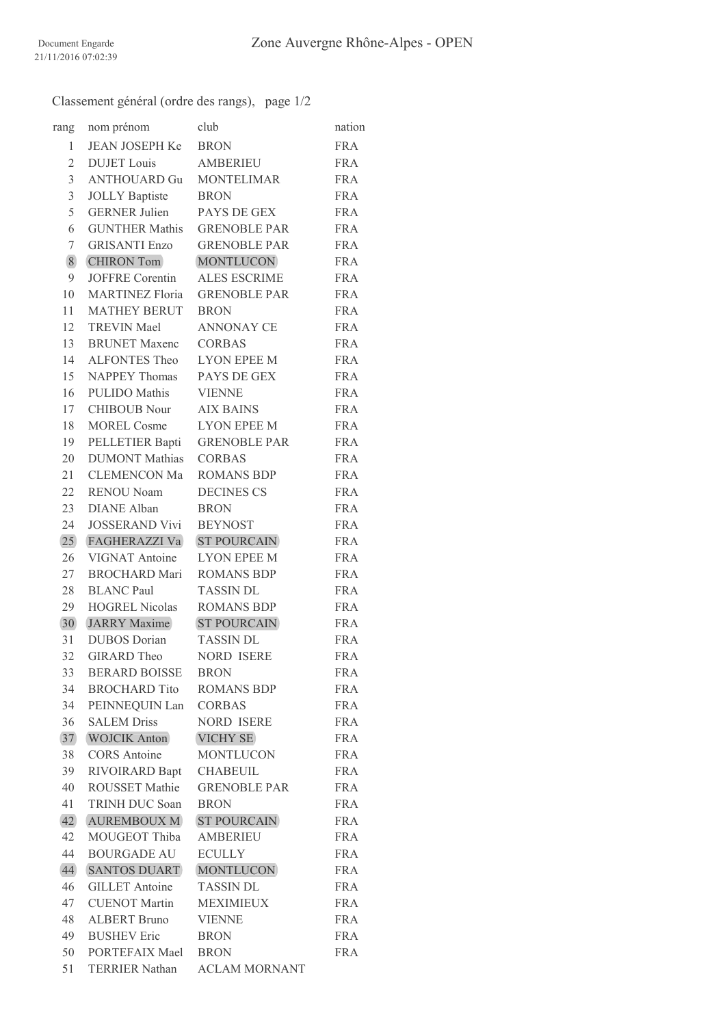Classement général (ordre des rangs), page 1/2

| rang           | nom prénom             | club                 | nation     |
|----------------|------------------------|----------------------|------------|
| 1              | JEAN JOSEPH Ke BRON    |                      | <b>FRA</b> |
| $\overline{2}$ | <b>DUJET</b> Louis     | <b>AMBERIEU</b>      | <b>FRA</b> |
| 3              | <b>ANTHOUARD Gu</b>    | <b>MONTELIMAR</b>    | <b>FRA</b> |
| 3              | <b>JOLLY Baptiste</b>  | <b>BRON</b>          | <b>FRA</b> |
| 5              | <b>GERNER Julien</b>   | PAYS DE GEX          | <b>FRA</b> |
| 6              | <b>GUNTHER Mathis</b>  | <b>GRENOBLE PAR</b>  | <b>FRA</b> |
| 7              | <b>GRISANTI Enzo</b>   | <b>GRENOBLE PAR</b>  | <b>FRA</b> |
| $8\,$          | <b>CHIRON Tom</b>      | <b>MONTLUCON</b>     | <b>FRA</b> |
| 9              | <b>JOFFRE</b> Corentin | <b>ALES ESCRIME</b>  | <b>FRA</b> |
| 10             | <b>MARTINEZ Floria</b> | <b>GRENOBLE PAR</b>  | <b>FRA</b> |
| 11             | <b>MATHEY BERUT</b>    | <b>BRON</b>          | <b>FRA</b> |
| 12             | <b>TREVIN Mael</b>     | <b>ANNONAY CE</b>    | <b>FRA</b> |
| 13             | <b>BRUNET Maxenc</b>   | <b>CORBAS</b>        | <b>FRA</b> |
| 14             | ALFONTES Theo          | <b>LYON EPEE M</b>   | <b>FRA</b> |
| 15             | NAPPEY Thomas          | PAYS DE GEX          | <b>FRA</b> |
| 16             | <b>PULIDO</b> Mathis   | <b>VIENNE</b>        | <b>FRA</b> |
| 17             | <b>CHIBOUB</b> Nour    | <b>AIX BAINS</b>     | <b>FRA</b> |
| 18             | <b>MOREL Cosme</b>     | <b>LYON EPEE M</b>   | <b>FRA</b> |
| 19             | PELLETIER Bapti        | <b>GRENOBLE PAR</b>  | <b>FRA</b> |
| 20             | <b>DUMONT Mathias</b>  | <b>CORBAS</b>        | <b>FRA</b> |
| 21             | CLEMENCON Ma           | <b>ROMANS BDP</b>    | <b>FRA</b> |
| 22             | <b>RENOU Noam</b>      | <b>DECINES CS</b>    | <b>FRA</b> |
| 23             | <b>DIANE</b> Alban     | <b>BRON</b>          | <b>FRA</b> |
| 24             | <b>JOSSERAND Vivi</b>  | <b>BEYNOST</b>       | <b>FRA</b> |
| 25             | <b>FAGHERAZZI Va</b>   | <b>ST POURCAIN</b>   | <b>FRA</b> |
| 26             | VIGNAT Antoine         | <b>LYON EPEE M</b>   | <b>FRA</b> |
| 27             | BROCHARD Mari          | <b>ROMANS BDP</b>    | <b>FRA</b> |
| 28             | <b>BLANC Paul</b>      | <b>TASSIN DL</b>     | <b>FRA</b> |
| 29             | <b>HOGREL Nicolas</b>  | <b>ROMANS BDP</b>    | <b>FRA</b> |
| 30             | <b>JARRY</b> Maxime    | <b>ST POURCAIN</b>   | <b>FRA</b> |
| 31             | <b>DUBOS</b> Dorian    | <b>TASSIN DL</b>     | <b>FRA</b> |
| 32             | <b>GIRARD</b> Theo     | <b>NORD ISERE</b>    | <b>FRA</b> |
| 33             | <b>BERARD BOISSE</b>   | <b>BRON</b>          | <b>FRA</b> |
| 34             | <b>BROCHARD Tito</b>   | <b>ROMANS BDP</b>    | <b>FRA</b> |
| 34             | PEINNEQUIN Lan         | CORBAS               | <b>FRA</b> |
| 36             | <b>SALEM Driss</b>     | <b>NORD ISERE</b>    | <b>FRA</b> |
| 37             | <b>WOJCIK Anton</b>    | <b>VICHY SE</b>      | <b>FRA</b> |
| 38             | <b>CORS</b> Antoine    | MONTLUCON            | <b>FRA</b> |
| 39             | RIVOIRARD Bapt         | <b>CHABEUIL</b>      | <b>FRA</b> |
| 40             | <b>ROUSSET Mathie</b>  | <b>GRENOBLE PAR</b>  | <b>FRA</b> |
| 41             | TRINH DUC Soan         | <b>BRON</b>          | <b>FRA</b> |
| 42             | <b>AUREMBOUX M</b>     | <b>ST POURCAIN</b>   | <b>FRA</b> |
| 42             | MOUGEOT Thiba          | <b>AMBERIEU</b>      | <b>FRA</b> |
| 44             | <b>BOURGADE AU</b>     | <b>ECULLY</b>        | <b>FRA</b> |
| 44             | <b>SANTOS DUART</b>    | <b>MONTLUCON</b>     | <b>FRA</b> |
| 46             | <b>GILLET</b> Antoine  | <b>TASSIN DL</b>     | <b>FRA</b> |
| 47             | <b>CUENOT Martin</b>   | <b>MEXIMIEUX</b>     | <b>FRA</b> |
| 48             | <b>ALBERT Bruno</b>    | <b>VIENNE</b>        | <b>FRA</b> |
| 49             | <b>BUSHEV</b> Eric     | <b>BRON</b>          | <b>FRA</b> |
| 50             | PORTEFAIX Mael BRON    |                      | <b>FRA</b> |
| 51             | <b>TERRIER Nathan</b>  | <b>ACLAM MORNANT</b> |            |